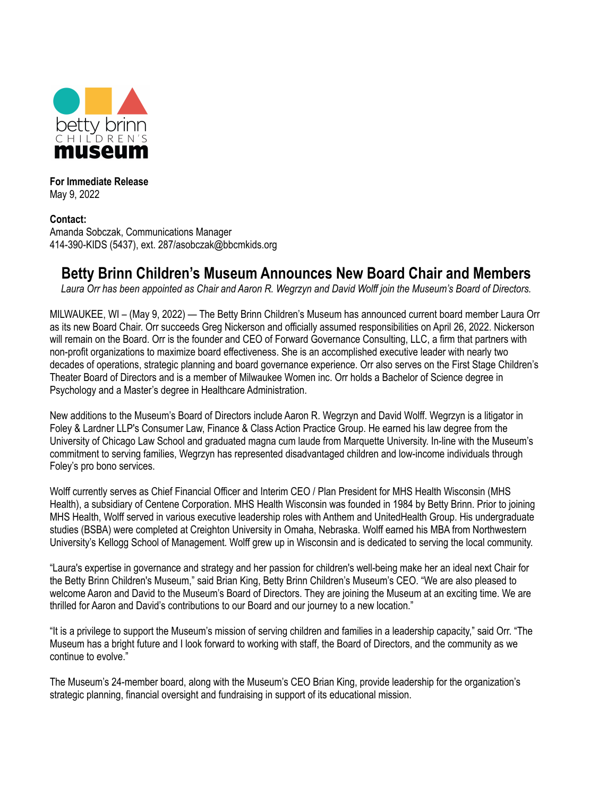

**For Immediate Release** May 9, 2022

**Contact:** Amanda Sobczak, Communications Manager 414-390-KIDS (5437), ext. 287/asobczak@bbcmkids.org

## **Betty Brinn Children's Museum Announces New Board Chair and Members**

Laura Orr has been appointed as Chair and Aaron R. Wegrzyn and David Wolff join the Museum's Board of Directors.

MILWAUKEE, WI – (May 9, 2022) — The Betty Brinn Children's Museum has announced current board member Laura Orr as its new Board Chair. Orr succeeds Greg Nickerson and officially assumed responsibilities on April 26, 2022. Nickerson will remain on the Board. Orr is the founder and CEO of Forward Governance Consulting, LLC, a firm that partners with non-profit organizations to maximize board effectiveness. She is an accomplished executive leader with nearly two decades of operations, strategic planning and board governance experience. Orr also serves on the First Stage Children's Theater Board of Directors and is a member of Milwaukee Women inc. Orr holds a Bachelor of Science degree in Psychology and a Master's degree in Healthcare Administration.

New additions to the Museum's Board of Directors include Aaron R. Wegrzyn and David Wolff. Wegrzyn is a litigator in Foley & Lardner LLP's Consumer Law, Finance & Class Action Practice Group. He earned his law degree from the University of Chicago Law School and graduated magna cum laude from Marquette University. In-line with the Museum's commitment to serving families, Wegrzyn has represented disadvantaged children and low-income individuals through Foley's pro bono services.

Wolff currently serves as Chief Financial Officer and Interim CEO / Plan President for MHS Health Wisconsin (MHS Health), a subsidiary of Centene Corporation. MHS Health Wisconsin was founded in 1984 by Betty Brinn. Prior to joining MHS Health, Wolff served in various executive leadership roles with Anthem and UnitedHealth Group. His undergraduate studies (BSBA) were completed at Creighton University in Omaha, Nebraska. Wolff earned his MBA from Northwestern University's Kellogg School of Management. Wolff grew up in Wisconsin and is dedicated to serving the local community.

"Laura's expertise in governance and strategy and her passion for children's well-being make her an ideal next Chair for the Betty Brinn Children's Museum," said Brian King, Betty Brinn Children's Museum's CEO. "We are also pleased to welcome Aaron and David to the Museum's Board of Directors. They are joining the Museum at an exciting time. We are thrilled for Aaron and David's contributions to our Board and our journey to a new location."

"It is a privilege to support the Museum's mission of serving children and families in a leadership capacity," said Orr. "The Museum has a bright future and I look forward to working with staff, the Board of Directors, and the community as we continue to evolve."

The Museum's 24-member board, along with the Museum's CEO Brian King, provide leadership for the organization's strategic planning, financial oversight and fundraising in support of its educational mission.